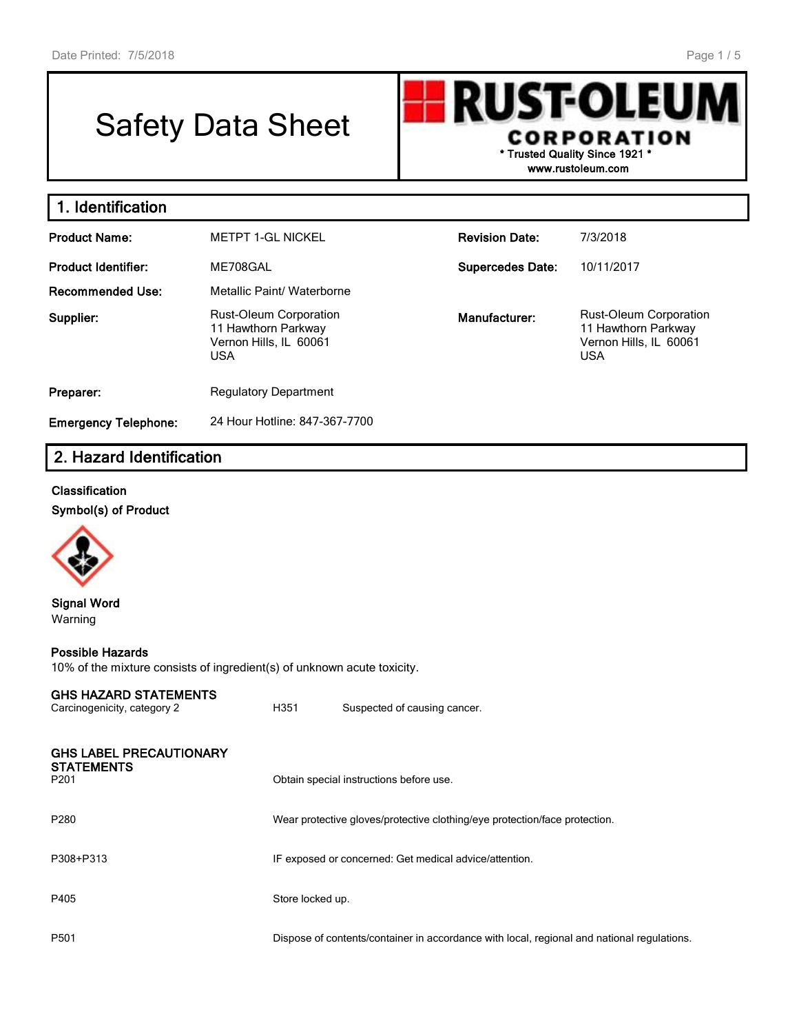# Safety Data Sheet



**www.rustoleum.com**

| 1. Identification           |                                                                                       |                         |                                                                                              |
|-----------------------------|---------------------------------------------------------------------------------------|-------------------------|----------------------------------------------------------------------------------------------|
| <b>Product Name:</b>        | <b>METPT 1-GL NICKEL</b>                                                              | <b>Revision Date:</b>   | 7/3/2018                                                                                     |
| <b>Product Identifier:</b>  | ME708GAL                                                                              | <b>Supercedes Date:</b> | 10/11/2017                                                                                   |
| <b>Recommended Use:</b>     | Metallic Paint/ Waterborne                                                            |                         |                                                                                              |
| Supplier:                   | Rust-Oleum Corporation<br>11 Hawthorn Parkway<br>Vernon Hills, IL 60061<br><b>USA</b> | Manufacturer:           | <b>Rust-Oleum Corporation</b><br>11 Hawthorn Parkway<br>Vernon Hills, IL 60061<br><b>USA</b> |
| Preparer:                   | <b>Regulatory Department</b>                                                          |                         |                                                                                              |
| <b>Emergency Telephone:</b> | 24 Hour Hotline: 847-367-7700                                                         |                         |                                                                                              |

# **2. Hazard Identification**

## **Classification**

**Symbol(s) of Product**



### **Signal Word** Warning

#### **Possible Hazards**

10% of the mixture consists of ingredient(s) of unknown acute toxicity.

#### **GHS HAZARD STATEMENTS**

| Carcinogenicity, category 2                                             | H351             | Suspected of causing cancer.                                                               |
|-------------------------------------------------------------------------|------------------|--------------------------------------------------------------------------------------------|
| <b>GHS LABEL PRECAUTIONARY</b><br><b>STATEMENTS</b><br>P <sub>201</sub> |                  | Obtain special instructions before use.                                                    |
| P280                                                                    |                  | Wear protective gloves/protective clothing/eye protection/face protection.                 |
| P308+P313                                                               |                  | IF exposed or concerned: Get medical advice/attention.                                     |
| P405                                                                    | Store locked up. |                                                                                            |
| P <sub>501</sub>                                                        |                  | Dispose of contents/container in accordance with local, regional and national regulations. |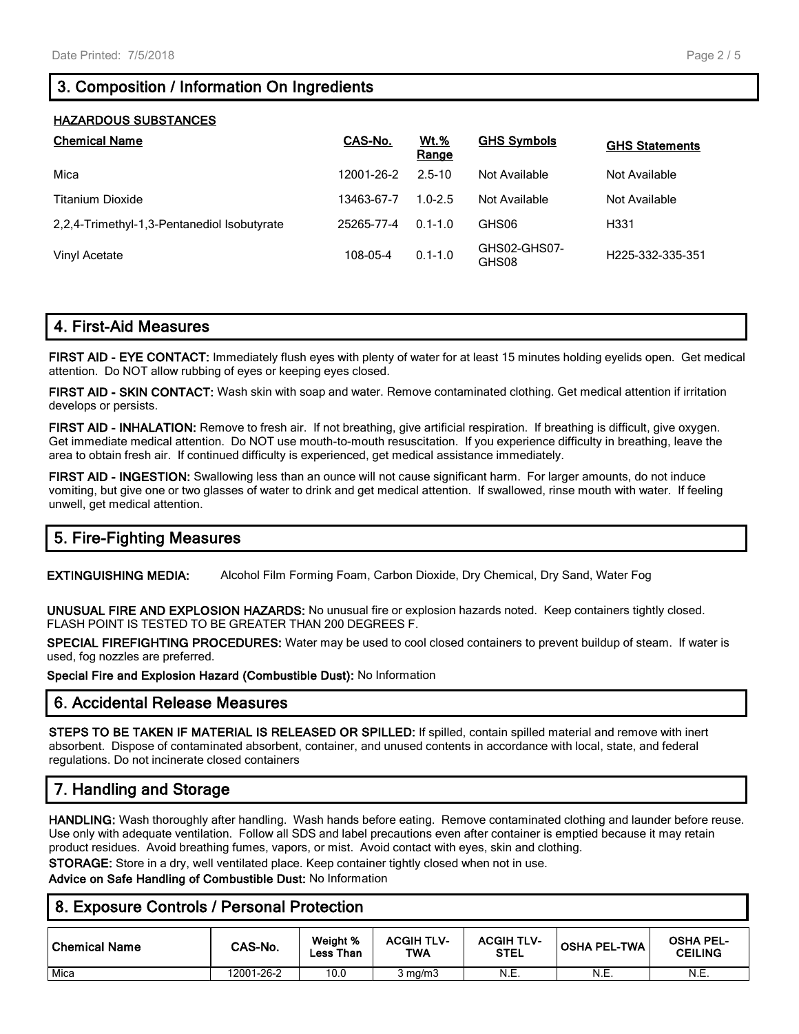# **3. Composition / Information On Ingredients**

| <b>HAZARDOUS SUBSTANCES</b>                 |            |                      |                       |                       |  |  |  |
|---------------------------------------------|------------|----------------------|-----------------------|-----------------------|--|--|--|
| <b>Chemical Name</b>                        | CAS-No.    | <b>Wt.%</b><br>Range | <b>GHS Symbols</b>    | <b>GHS Statements</b> |  |  |  |
| Mica                                        | 12001-26-2 | $2.5 - 10$           | Not Available         | Not Available         |  |  |  |
| <b>Titanium Dioxide</b>                     | 13463-67-7 | $1.0 - 2.5$          | Not Available         | Not Available         |  |  |  |
| 2.2.4-Trimethyl-1.3-Pentanediol Isobutyrate | 25265-77-4 | $0.1 - 1.0$          | GHS06                 | H331                  |  |  |  |
| Vinyl Acetate                               | 108-05-4   | $0.1 - 1.0$          | GHS02-GHS07-<br>GHS08 | H225-332-335-351      |  |  |  |

## **4. First-Aid Measures**

**FIRST AID - EYE CONTACT:** Immediately flush eyes with plenty of water for at least 15 minutes holding eyelids open. Get medical attention. Do NOT allow rubbing of eyes or keeping eyes closed.

**FIRST AID - SKIN CONTACT:** Wash skin with soap and water. Remove contaminated clothing. Get medical attention if irritation develops or persists.

**FIRST AID - INHALATION:** Remove to fresh air. If not breathing, give artificial respiration. If breathing is difficult, give oxygen. Get immediate medical attention. Do NOT use mouth-to-mouth resuscitation. If you experience difficulty in breathing, leave the area to obtain fresh air. If continued difficulty is experienced, get medical assistance immediately.

**FIRST AID - INGESTION:** Swallowing less than an ounce will not cause significant harm. For larger amounts, do not induce vomiting, but give one or two glasses of water to drink and get medical attention. If swallowed, rinse mouth with water. If feeling unwell, get medical attention.

# **5. Fire-Fighting Measures**

**EXTINGUISHING MEDIA:** Alcohol Film Forming Foam, Carbon Dioxide, Dry Chemical, Dry Sand, Water Fog

**UNUSUAL FIRE AND EXPLOSION HAZARDS:** No unusual fire or explosion hazards noted. Keep containers tightly closed. FLASH POINT IS TESTED TO BE GREATER THAN 200 DEGREES F.

**SPECIAL FIREFIGHTING PROCEDURES:** Water may be used to cool closed containers to prevent buildup of steam. If water is used, fog nozzles are preferred.

**Special Fire and Explosion Hazard (Combustible Dust):** No Information

## **6. Accidental Release Measures**

**STEPS TO BE TAKEN IF MATERIAL IS RELEASED OR SPILLED:** If spilled, contain spilled material and remove with inert absorbent. Dispose of contaminated absorbent, container, and unused contents in accordance with local, state, and federal regulations. Do not incinerate closed containers

# **7. Handling and Storage**

**HANDLING:** Wash thoroughly after handling. Wash hands before eating. Remove contaminated clothing and launder before reuse. Use only with adequate ventilation. Follow all SDS and label precautions even after container is emptied because it may retain product residues. Avoid breathing fumes, vapors, or mist. Avoid contact with eyes, skin and clothing.

**STORAGE:** Store in a dry, well ventilated place. Keep container tightly closed when not in use.

**Advice on Safe Handling of Combustible Dust:** No Information

| 8. Exposure Controls / Personal Protection |            |                       |                          |                                  |                     |                                    |  |
|--------------------------------------------|------------|-----------------------|--------------------------|----------------------------------|---------------------|------------------------------------|--|
| Chemical Name                              | CAS-No.    | Weight %<br>Less Than | <b>ACGIH TLV-</b><br>TWA | <b>ACGIH TLV-</b><br><b>STEL</b> | <b>OSHA PEL-TWA</b> | <b>OSHA PEL-</b><br><b>CEILING</b> |  |
| Mica                                       | 12001-26-2 | 10.0                  | $3 \text{ mg/m}$         | N.E.                             | N.E.                | N.E.                               |  |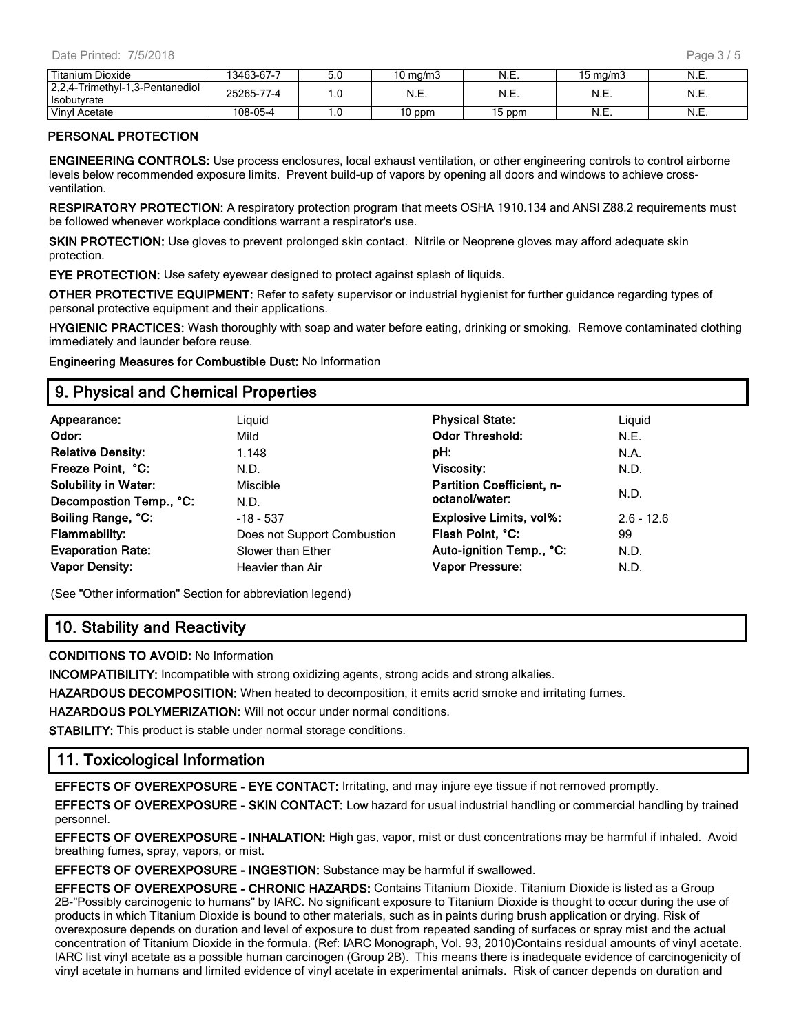| Titanium Dioxide                               | 13463-67-7 | ว.บ   | $10 \text{ ma/m}$ 3 | - N.E. | 15 ma/m3 | ◥.∟. |
|------------------------------------------------|------------|-------|---------------------|--------|----------|------|
| 2,2,4-Trimethyl-1,3-Pentanediol<br>Isobutvrate | 25265-77-4 |       | N.E.                | N.E.   | N.E.     | N.E. |
| <b>Vinvl Acetate</b>                           | 108-05-4   | . . ب | 0 ppm               | 15 ppm | N.E.     | …∟.  |

#### **PERSONAL PROTECTION**

**ENGINEERING CONTROLS:** Use process enclosures, local exhaust ventilation, or other engineering controls to control airborne levels below recommended exposure limits. Prevent build-up of vapors by opening all doors and windows to achieve crossventilation.

**RESPIRATORY PROTECTION:** A respiratory protection program that meets OSHA 1910.134 and ANSI Z88.2 requirements must be followed whenever workplace conditions warrant a respirator's use.

**SKIN PROTECTION:** Use gloves to prevent prolonged skin contact. Nitrile or Neoprene gloves may afford adequate skin protection.

**EYE PROTECTION:** Use safety eyewear designed to protect against splash of liquids.

**OTHER PROTECTIVE EQUIPMENT:** Refer to safety supervisor or industrial hygienist for further guidance regarding types of personal protective equipment and their applications.

**HYGIENIC PRACTICES:** Wash thoroughly with soap and water before eating, drinking or smoking. Remove contaminated clothing immediately and launder before reuse.

**Engineering Measures for Combustible Dust:** No Information

## **9. Physical and Chemical Properties**

| Appearance:                 | Liguid                      | <b>Physical State:</b>           | Liguid       |
|-----------------------------|-----------------------------|----------------------------------|--------------|
| Odor:                       | Mild                        | <b>Odor Threshold:</b>           | N.E.         |
| <b>Relative Density:</b>    | 1.148                       | pH:                              | N.A.         |
| Freeze Point, °C:           | N.D.                        | <b>Viscosity:</b>                | N.D.         |
| <b>Solubility in Water:</b> | Miscible                    | <b>Partition Coefficient, n-</b> |              |
| Decompostion Temp., °C:     | N.D.                        | octanol/water:                   | N.D.         |
| Boiling Range, °C:          | $-18 - 537$                 | <b>Explosive Limits, vol%:</b>   | $2.6 - 12.6$ |
| <b>Flammability:</b>        | Does not Support Combustion | Flash Point, °C:                 | 99           |
| <b>Evaporation Rate:</b>    | Slower than Ether           | Auto-ignition Temp., °C:         | N.D.         |
| <b>Vapor Density:</b>       | Heavier than Air            | Vapor Pressure:                  | N.D.         |
|                             |                             |                                  |              |

(See "Other information" Section for abbreviation legend)

## **10. Stability and Reactivity**

**CONDITIONS TO AVOID:** No Information

**INCOMPATIBILITY:** Incompatible with strong oxidizing agents, strong acids and strong alkalies.

**HAZARDOUS DECOMPOSITION:** When heated to decomposition, it emits acrid smoke and irritating fumes.

**HAZARDOUS POLYMERIZATION:** Will not occur under normal conditions.

**STABILITY:** This product is stable under normal storage conditions.

## **11. Toxicological Information**

**EFFECTS OF OVEREXPOSURE - EYE CONTACT:** Irritating, and may injure eye tissue if not removed promptly.

**EFFECTS OF OVEREXPOSURE - SKIN CONTACT:** Low hazard for usual industrial handling or commercial handling by trained personnel.

**EFFECTS OF OVEREXPOSURE - INHALATION:** High gas, vapor, mist or dust concentrations may be harmful if inhaled. Avoid breathing fumes, spray, vapors, or mist.

**EFFECTS OF OVEREXPOSURE - INGESTION:** Substance may be harmful if swallowed.

**EFFECTS OF OVEREXPOSURE - CHRONIC HAZARDS:** Contains Titanium Dioxide. Titanium Dioxide is listed as a Group 2B-"Possibly carcinogenic to humans" by IARC. No significant exposure to Titanium Dioxide is thought to occur during the use of products in which Titanium Dioxide is bound to other materials, such as in paints during brush application or drying. Risk of overexposure depends on duration and level of exposure to dust from repeated sanding of surfaces or spray mist and the actual concentration of Titanium Dioxide in the formula. (Ref: IARC Monograph, Vol. 93, 2010)Contains residual amounts of vinyl acetate. IARC list vinyl acetate as a possible human carcinogen (Group 2B). This means there is inadequate evidence of carcinogenicity of vinyl acetate in humans and limited evidence of vinyl acetate in experimental animals. Risk of cancer depends on duration and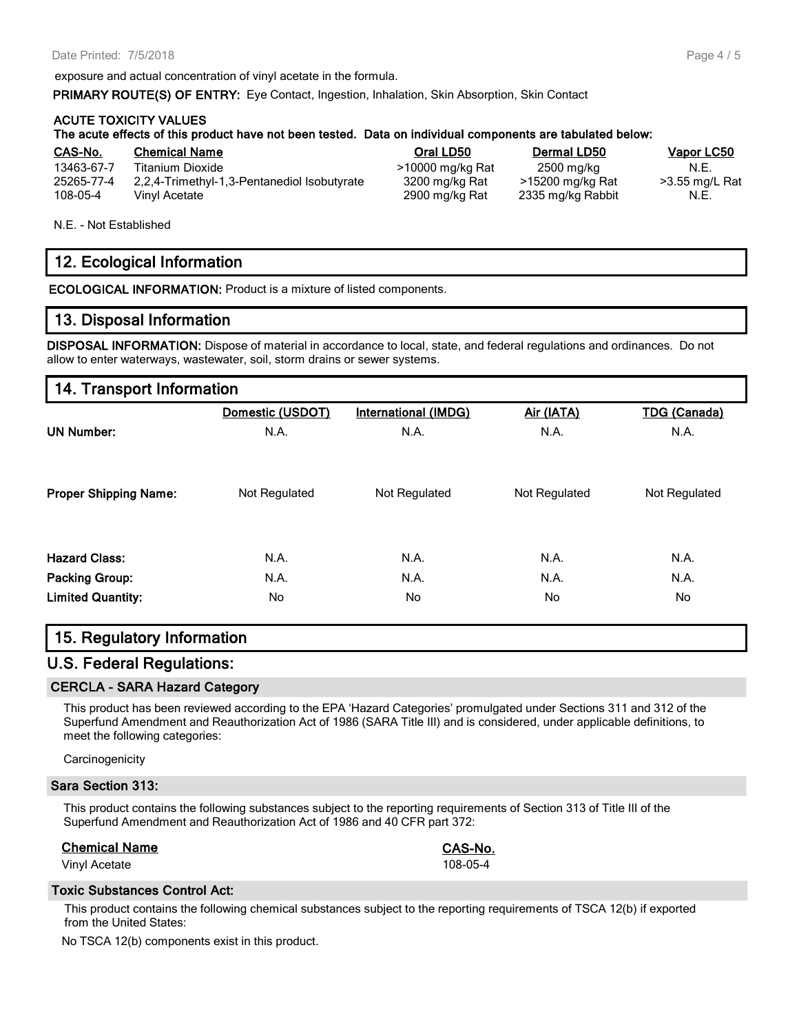exposure and actual concentration of vinyl acetate in the formula.

**PRIMARY ROUTE(S) OF ENTRY:** Eye Contact, Ingestion, Inhalation, Skin Absorption, Skin Contact

#### **ACUTE TOXICITY VALUES**

|                                      | The acute effects of this product have not been tested. Data on individual components are tabulated below: |                                                      |                                                     |                                |
|--------------------------------------|------------------------------------------------------------------------------------------------------------|------------------------------------------------------|-----------------------------------------------------|--------------------------------|
| CAS-No.                              | <b>Chemical Name</b>                                                                                       | Oral LD50                                            | <b>Dermal LD50</b>                                  | Vapor LC50                     |
| 13463-67-7<br>25265-77-4<br>108-05-4 | Titanium Dioxide<br>2.2.4-Trimethyl-1.3-Pentanediol Isobutyrate<br>Vinyl Acetate                           | >10000 mg/kg Rat<br>3200 mg/kg Rat<br>2900 mg/kg Rat | 2500 mg/kg<br>>15200 mg/kg Rat<br>2335 mg/kg Rabbit | N.E.<br>>3.55 mg/L Rat<br>N.E. |

N.E. - Not Established

# **12. Ecological Information**

**ECOLOGICAL INFORMATION:** Product is a mixture of listed components.

## **13. Disposal Information**

**DISPOSAL INFORMATION:** Dispose of material in accordance to local, state, and federal regulations and ordinances. Do not allow to enter waterways, wastewater, soil, storm drains or sewer systems.

|                              | Domestic (USDOT) | <b>International (IMDG)</b> | Air (IATA)    | <b>TDG (Canada)</b> |
|------------------------------|------------------|-----------------------------|---------------|---------------------|
| <b>UN Number:</b>            | N.A.             | N.A.                        | N.A.          | N.A.                |
| <b>Proper Shipping Name:</b> | Not Regulated    | Not Regulated               | Not Regulated | Not Regulated       |
| <b>Hazard Class:</b>         | N.A.             | N.A.                        | N.A.          | N.A.                |
| <b>Packing Group:</b>        | N.A.             | N.A.                        | N.A.          | N.A.                |
| <b>Limited Quantity:</b>     | No               | No.                         | No            | No.                 |

## **15. Regulatory Information**

## **U.S. Federal Regulations:**

#### **CERCLA - SARA Hazard Category**

This product has been reviewed according to the EPA 'Hazard Categories' promulgated under Sections 311 and 312 of the Superfund Amendment and Reauthorization Act of 1986 (SARA Title III) and is considered, under applicable definitions, to meet the following categories:

**Carcinogenicity** 

#### **Sara Section 313:**

This product contains the following substances subject to the reporting requirements of Section 313 of Title III of the Superfund Amendment and Reauthorization Act of 1986 and 40 CFR part 372:

#### **Chemical Name CAS-No.**

Vinyl Acetate 108-05-4

#### **Toxic Substances Control Act:**

This product contains the following chemical substances subject to the reporting requirements of TSCA 12(b) if exported from the United States:

No TSCA 12(b) components exist in this product.